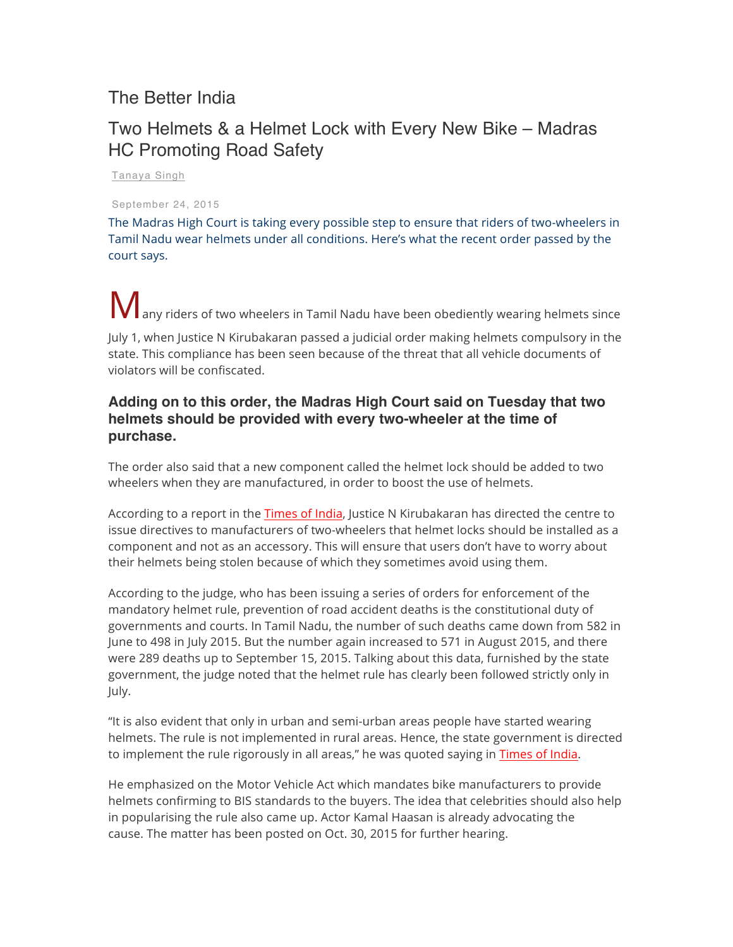## The Better India

## Two Helmets & a Helmet Lock with Every New Bike – Madras HC Promoting Road Safety

Tanaya Singh

September 24, 2015

The Madras High Court is taking every possible step to ensure that riders of two-wheelers in Tamil Nadu wear helmets under all conditions. Here's what the recent order passed by the court says.

**M** any riders of two wheelers in Tamil Nadu have been obediently wearing helmets since

July 1, when Justice N Kirubakaran passed a judicial order making helmets compulsory in the state. This compliance has been seen because of the threat that all vehicle documents of violators will be confiscated.

## **Adding on to this order, the Madras High Court said on Tuesday that two helmets should be provided with every two-wheeler at the time of purchase.**

The order also said that a new component called the helmet lock should be added to two wheelers when they are manufactured, in order to boost the use of helmets.

According to a report in the Times of India, Justice N Kirubakaran has directed the centre to issue directives to manufacturers of two-wheelers that helmet locks should be installed as a component and not as an accessory. This will ensure that users don't have to worry about their helmets being stolen because of which they sometimes avoid using them.

According to the judge, who has been issuing a series of orders for enforcement of the mandatory helmet rule, prevention of road accident deaths is the constitutional duty of governments and courts. In Tamil Nadu, the number of such deaths came down from 582 in June to 498 in July 2015. But the number again increased to 571 in August 2015, and there were 289 deaths up to September 15, 2015. Talking about this data, furnished by the state government, the judge noted that the helmet rule has clearly been followed strictly only in July.

"It is also evident that only in urban and semi-urban areas people have started wearing helmets. The rule is not implemented in rural areas. Hence, the state government is directed to implement the rule rigorously in all areas," he was quoted saying in Times of India.

He emphasized on the Motor Vehicle Act which mandates bike manufacturers to provide helmets confirming to BIS standards to the buyers. The idea that celebrities should also help in popularising the rule also came up. Actor Kamal Haasan is already advocating the cause. The matter has been posted on Oct. 30, 2015 for further hearing.